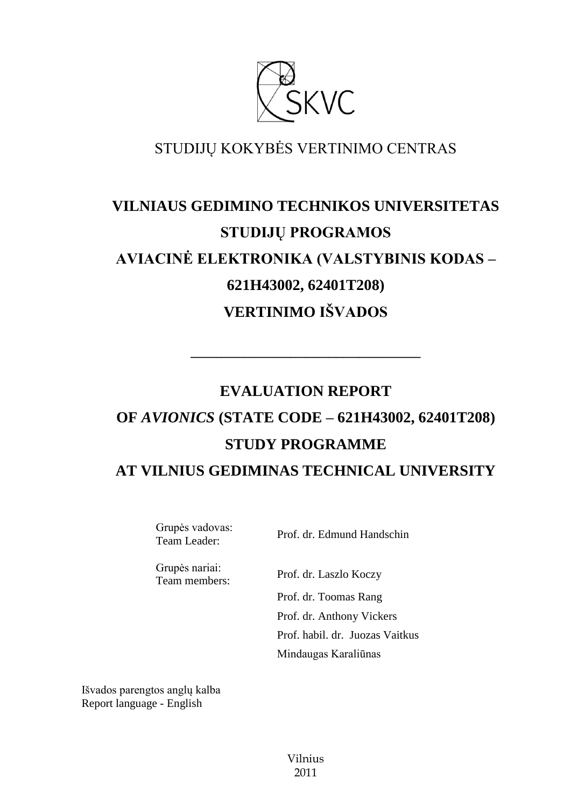

# STUDIJŲ KOKYBĖS VERTINIMO CENTRAS

# **VILNIAUS GEDIMINO TECHNIKOS UNIVERSITETAS STUDIJŲ PROGRAMOS AVIACINĖ ELEKTRONIKA (VALSTYBINIS KODAS – 621H43002, 62401T208) VERTINIMO IŠVADOS**

# **EVALUATION REPORT OF** *AVIONICS* **(STATE CODE – 621H43002, 62401T208) STUDY PROGRAMME AT VILNIUS GEDIMINAS TECHNICAL UNIVERSITY**

**––––––––––––––––––––––––––––––**

Grupės vadovas:

Team Leader: Prof. dr. Edmund Handschin

Grupės nariai:

Team members: Prof. dr. Laszlo Koczy Prof. dr. Toomas Rang Prof. dr. Anthony Vickers Prof. habil. dr. Juozas Vaitkus

Mindaugas Karaliūnas

Išvados parengtos anglų kalba Report language - English

> Vilnius 2011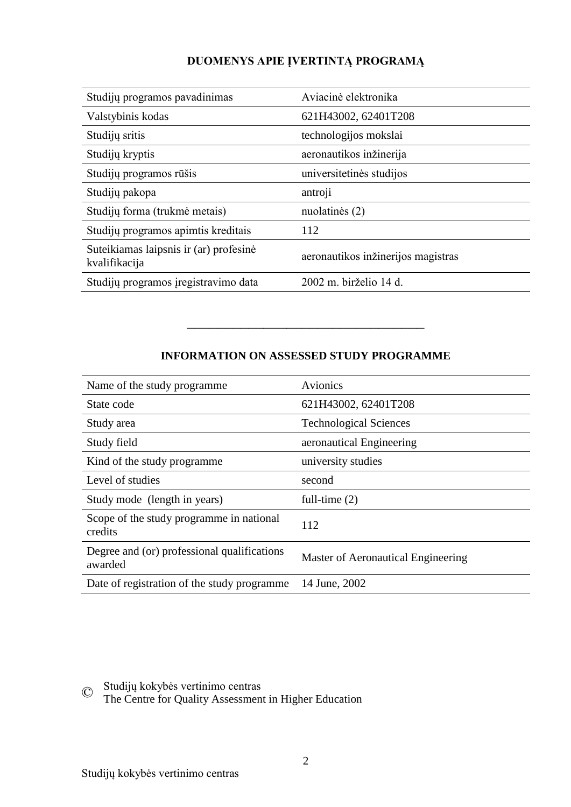# **DUOMENYS APIE ĮVERTINTĄ PROGRAMĄ**

| Studijų programos pavadinimas                           | Aviacinė elektronika               |
|---------------------------------------------------------|------------------------------------|
| Valstybinis kodas                                       | 621H43002, 62401T208               |
| Studijų sritis                                          | technologijos mokslai              |
| Studijų kryptis                                         | aeronautikos inžinerija            |
| Studijų programos rūšis                                 | universitetinės studijos           |
| Studijų pakopa                                          | antroji                            |
| Studijų forma (trukmė metais)                           | nuolatinės (2)                     |
| Studijų programos apimtis kreditais                     | 112                                |
| Suteikiamas laipsnis ir (ar) profesinė<br>kvalifikacija | aeronautikos inžinerijos magistras |
| Studijų programos įregistravimo data                    | 2002 m. birželio 14 d.             |

# **INFORMATION ON ASSESSED STUDY PROGRAMME**

–––––––––––––––––––––––––––––––

| Name of the study programme.                           | Avionics                           |
|--------------------------------------------------------|------------------------------------|
| State code                                             | 621H43002, 62401T208               |
| Study area                                             | <b>Technological Sciences</b>      |
| Study field                                            | aeronautical Engineering           |
| Kind of the study programme.                           | university studies                 |
| Level of studies                                       | second                             |
| Study mode (length in years)                           | full-time $(2)$                    |
| Scope of the study programme in national<br>credits    | 112                                |
| Degree and (or) professional qualifications<br>awarded | Master of Aeronautical Engineering |
| Date of registration of the study programme            | 14 June, 2002                      |

© Studijų kokybės vertinimo centras

The Centre for Quality Assessment in Higher Education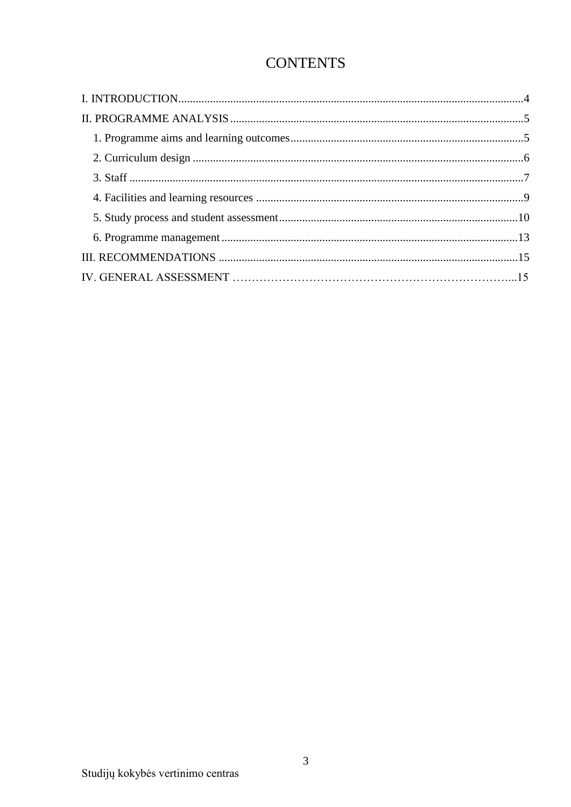# **CONTENTS**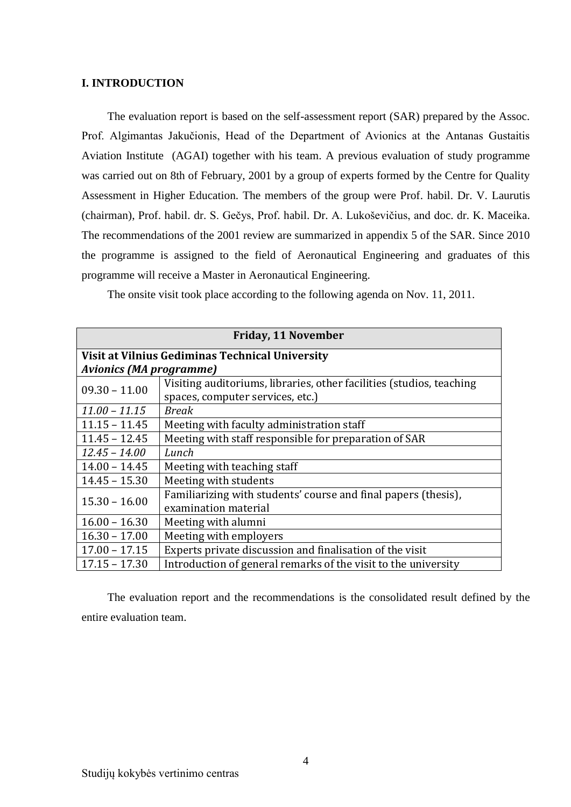#### <span id="page-3-0"></span>**I. INTRODUCTION**

The evaluation report is based on the self-assessment report (SAR) prepared by the Assoc. Prof. Algimantas Jakučionis, Head of the Department of Avionics at the Antanas Gustaitis Aviation Institute (AGAI) together with his team. A previous evaluation of study programme was carried out on 8th of February, 2001 by a group of experts formed by the Centre for Quality Assessment in Higher Education. The members of the group were Prof. habil. Dr. V. Laurutis (chairman), Prof. habil. dr. S. Gečys, Prof. habil. Dr. A. Lukoševičius, and doc. dr. K. Maceika. The recommendations of the 2001 review are summarized in appendix 5 of the SAR. Since 2010 the programme is assigned to the field of Aeronautical Engineering and graduates of this programme will receive a Master in Aeronautical Engineering.

The onsite visit took place according to the following agenda on Nov. 11, 2011.

| <b>Friday, 11 November</b>                      |                                                                      |  |
|-------------------------------------------------|----------------------------------------------------------------------|--|
| Visit at Vilnius Gediminas Technical University |                                                                      |  |
| <b>Avionics (MA programme)</b>                  |                                                                      |  |
| $09.30 - 11.00$                                 | Visiting auditoriums, libraries, other facilities (studios, teaching |  |
|                                                 | spaces, computer services, etc.)                                     |  |
| $11.00 - 11.15$                                 | <b>Break</b>                                                         |  |
| $11.15 - 11.45$                                 | Meeting with faculty administration staff                            |  |
| $11.45 - 12.45$                                 | Meeting with staff responsible for preparation of SAR                |  |
| $12.45 - 14.00$                                 | Lunch                                                                |  |
| $14.00 - 14.45$                                 | Meeting with teaching staff                                          |  |
| $14.45 - 15.30$                                 | Meeting with students                                                |  |
| $15.30 - 16.00$                                 | Familiarizing with students' course and final papers (thesis),       |  |
|                                                 | examination material                                                 |  |
| $16.00 - 16.30$                                 | Meeting with alumni                                                  |  |
| $16.30 - 17.00$                                 | Meeting with employers                                               |  |
| $17.00 - 17.15$                                 | Experts private discussion and finalisation of the visit             |  |
| $17.15 - 17.30$                                 | Introduction of general remarks of the visit to the university       |  |

<span id="page-3-1"></span>The evaluation report and the recommendations is the consolidated result defined by the entire evaluation team.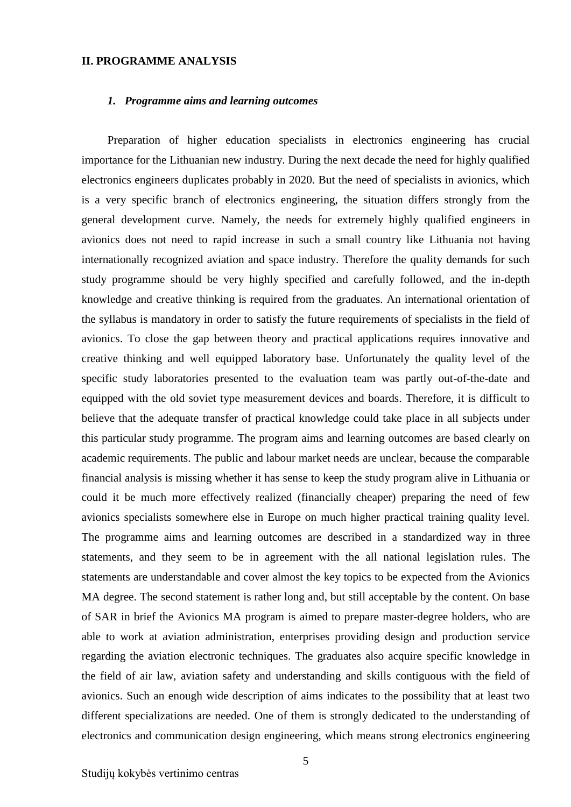#### **II. PROGRAMME ANALYSIS**

#### <span id="page-4-0"></span>*1. Programme aims and learning outcomes*

Preparation of higher education specialists in electronics engineering has crucial importance for the Lithuanian new industry. During the next decade the need for highly qualified electronics engineers duplicates probably in 2020. But the need of specialists in avionics, which is a very specific branch of electronics engineering, the situation differs strongly from the general development curve. Namely, the needs for extremely highly qualified engineers in avionics does not need to rapid increase in such a small country like Lithuania not having internationally recognized aviation and space industry. Therefore the quality demands for such study programme should be very highly specified and carefully followed, and the in-depth knowledge and creative thinking is required from the graduates. An international orientation of the syllabus is mandatory in order to satisfy the future requirements of specialists in the field of avionics. To close the gap between theory and practical applications requires innovative and creative thinking and well equipped laboratory base. Unfortunately the quality level of the specific study laboratories presented to the evaluation team was partly out-of-the-date and equipped with the old soviet type measurement devices and boards. Therefore, it is difficult to believe that the adequate transfer of practical knowledge could take place in all subjects under this particular study programme. The program aims and learning outcomes are based clearly on academic requirements. The public and labour market needs are unclear, because the comparable financial analysis is missing whether it has sense to keep the study program alive in Lithuania or could it be much more effectively realized (financially cheaper) preparing the need of few avionics specialists somewhere else in Europe on much higher practical training quality level. The programme aims and learning outcomes are described in a standardized way in three statements, and they seem to be in agreement with the all national legislation rules. The statements are understandable and cover almost the key topics to be expected from the Avionics MA degree. The second statement is rather long and, but still acceptable by the content. On base of SAR in brief the Avionics MA program is aimed to prepare master-degree holders, who are able to work at aviation administration, enterprises providing design and production service regarding the aviation electronic techniques. The graduates also acquire specific knowledge in the field of air law, aviation safety and understanding and skills contiguous with the field of avionics. Such an enough wide description of aims indicates to the possibility that at least two different specializations are needed. One of them is strongly dedicated to the understanding of electronics and communication design engineering, which means strong electronics engineering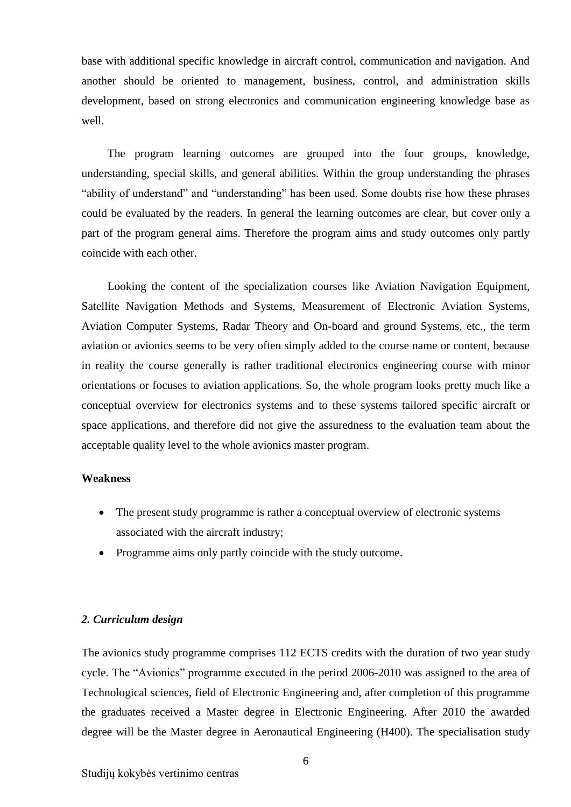base with additional specific knowledge in aircraft control, communication and navigation. And another should be oriented to management, business, control, and administration skills development, based on strong electronics and communication engineering knowledge base as well.

The program learning outcomes are grouped into the four groups, knowledge, understanding, special skills, and general abilities. Within the group understanding the phrases "ability of understand" and "understanding" has been used. Some doubts rise how these phrases could be evaluated by the readers. In general the learning outcomes are clear, but cover only a part of the program general aims. Therefore the program aims and study outcomes only partly coincide with each other.

Looking the content of the specialization courses like Aviation Navigation Equipment, Satellite Navigation Methods and Systems, Measurement of Electronic Aviation Systems, Aviation Computer Systems, Radar Theory and On-board and ground Systems, etc., the term aviation or avionics seems to be very often simply added to the course name or content, because in reality the course generally is rather traditional electronics engineering course with minor orientations or focuses to aviation applications. So, the whole program looks pretty much like a conceptual overview for electronics systems and to these systems tailored specific aircraft or space applications, and therefore did not give the assuredness to the evaluation team about the acceptable quality level to the whole avionics master program.

### **Weakness**

- The present study programme is rather a conceptual overview of electronic systems associated with the aircraft industry;
- Programme aims only partly coincide with the study outcome.

# <span id="page-5-0"></span>*2. Curriculum design*

The avionics study programme comprises 112 ECTS credits with the duration of two year study cycle. The "Avionics" programme executed in the period 2006-2010 was assigned to the area of Technological sciences, field of Electronic Engineering and, after completion of this programme the graduates received a Master degree in Electronic Engineering. After 2010 the awarded degree will be the Master degree in Aeronautical Engineering (H400). The specialisation study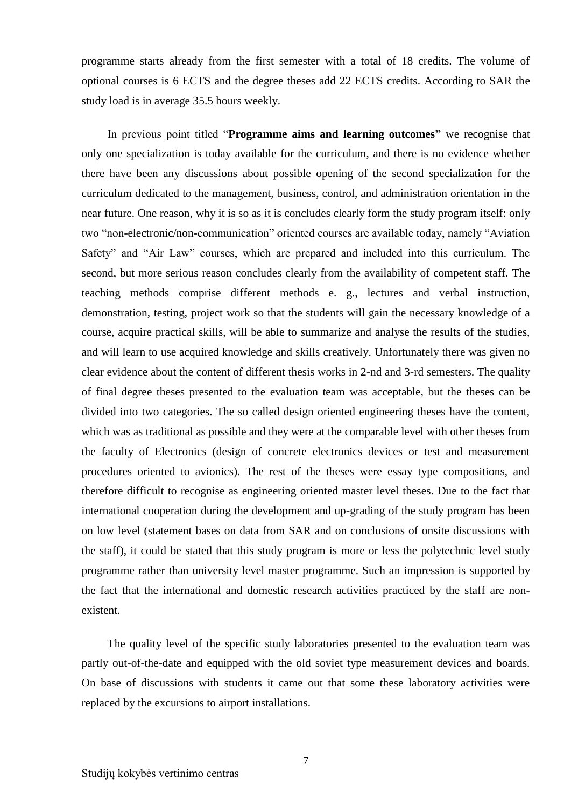programme starts already from the first semester with a total of 18 credits. The volume of optional courses is 6 ECTS and the degree theses add 22 ECTS credits. According to SAR the study load is in average 35.5 hours weekly.

In previous point titled "**Programme aims and learning outcomes"** we recognise that only one specialization is today available for the curriculum, and there is no evidence whether there have been any discussions about possible opening of the second specialization for the curriculum dedicated to the management, business, control, and administration orientation in the near future. One reason, why it is so as it is concludes clearly form the study program itself: only two "non-electronic/non-communication" oriented courses are available today, namely "Aviation Safety" and "Air Law" courses, which are prepared and included into this curriculum. The second, but more serious reason concludes clearly from the availability of competent staff. The teaching methods comprise different methods e. g., lectures and verbal instruction, demonstration, testing, project work so that the students will gain the necessary knowledge of a course, acquire practical skills, will be able to summarize and analyse the results of the studies, and will learn to use acquired knowledge and skills creatively. Unfortunately there was given no clear evidence about the content of different thesis works in 2-nd and 3-rd semesters. The quality of final degree theses presented to the evaluation team was acceptable, but the theses can be divided into two categories. The so called design oriented engineering theses have the content, which was as traditional as possible and they were at the comparable level with other theses from the faculty of Electronics (design of concrete electronics devices or test and measurement procedures oriented to avionics). The rest of the theses were essay type compositions, and therefore difficult to recognise as engineering oriented master level theses. Due to the fact that international cooperation during the development and up-grading of the study program has been on low level (statement bases on data from SAR and on conclusions of onsite discussions with the staff), it could be stated that this study program is more or less the polytechnic level study programme rather than university level master programme. Such an impression is supported by the fact that the international and domestic research activities practiced by the staff are nonexistent.

The quality level of the specific study laboratories presented to the evaluation team was partly out-of-the-date and equipped with the old soviet type measurement devices and boards. On base of discussions with students it came out that some these laboratory activities were replaced by the excursions to airport installations.

7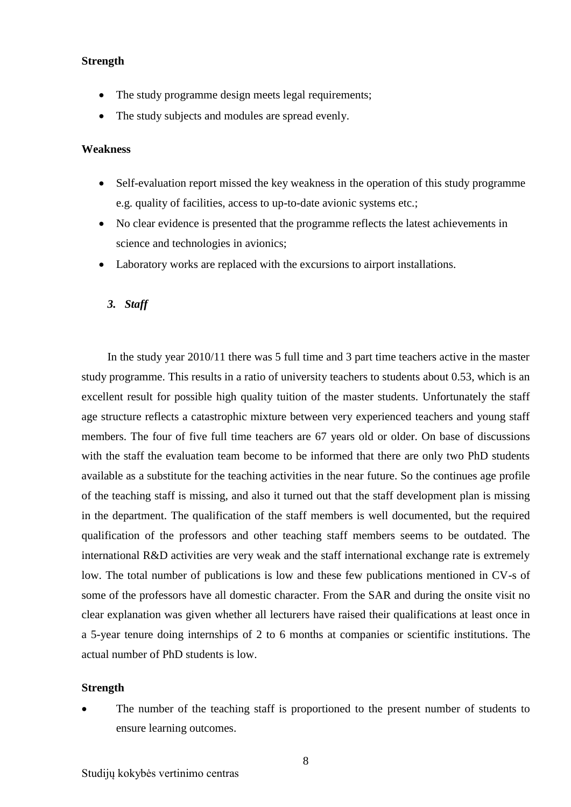## **Strength**

- The study programme design meets legal requirements;
- The study subjects and modules are spread evenly.

#### **Weakness**

- Self-evaluation report missed the key weakness in the operation of this study programme e.g. quality of facilities, access to up-to-date avionic systems etc.;
- No clear evidence is presented that the programme reflects the latest achievements in science and technologies in avionics;
- Laboratory works are replaced with the excursions to airport installations.

#### <span id="page-7-0"></span>*3. Staff*

In the study year 2010/11 there was 5 full time and 3 part time teachers active in the master study programme. This results in a ratio of university teachers to students about 0.53, which is an excellent result for possible high quality tuition of the master students. Unfortunately the staff age structure reflects a catastrophic mixture between very experienced teachers and young staff members. The four of five full time teachers are 67 years old or older. On base of discussions with the staff the evaluation team become to be informed that there are only two PhD students available as a substitute for the teaching activities in the near future. So the continues age profile of the teaching staff is missing, and also it turned out that the staff development plan is missing in the department. The qualification of the staff members is well documented, but the required qualification of the professors and other teaching staff members seems to be outdated. The international R&D activities are very weak and the staff international exchange rate is extremely low. The total number of publications is low and these few publications mentioned in CV-s of some of the professors have all domestic character. From the SAR and during the onsite visit no clear explanation was given whether all lecturers have raised their qualifications at least once in a 5-year tenure doing internships of 2 to 6 months at companies or scientific institutions. The actual number of PhD students is low.

#### **Strength**

 The number of the teaching staff is proportioned to the present number of students to ensure learning outcomes.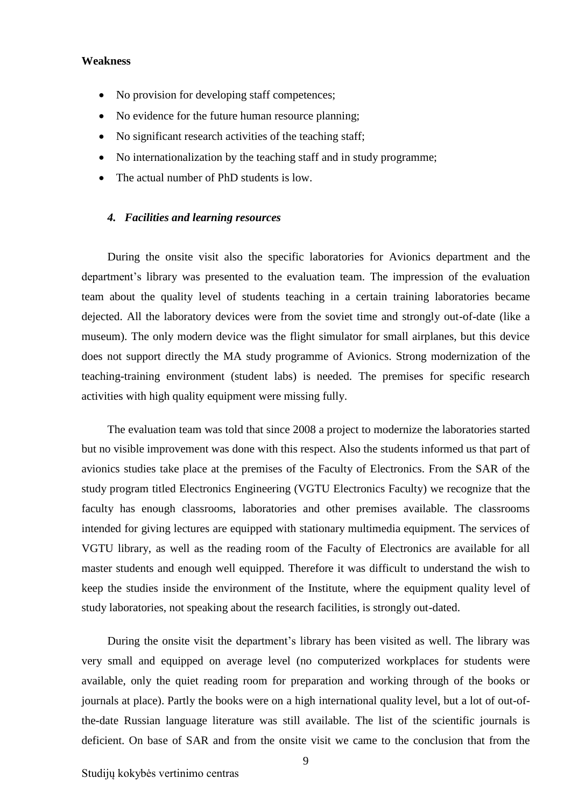#### **Weakness**

- No provision for developing staff competences;
- No evidence for the future human resource planning;
- No significant research activities of the teaching staff;
- No internationalization by the teaching staff and in study programme;
- The actual number of PhD students is low.

#### <span id="page-8-0"></span>*4. Facilities and learning resources*

During the onsite visit also the specific laboratories for Avionics department and the department's library was presented to the evaluation team. The impression of the evaluation team about the quality level of students teaching in a certain training laboratories became dejected. All the laboratory devices were from the soviet time and strongly out-of-date (like a museum). The only modern device was the flight simulator for small airplanes, but this device does not support directly the MA study programme of Avionics. Strong modernization of the teaching-training environment (student labs) is needed. The premises for specific research activities with high quality equipment were missing fully.

The evaluation team was told that since 2008 a project to modernize the laboratories started but no visible improvement was done with this respect. Also the students informed us that part of avionics studies take place at the premises of the Faculty of Electronics. From the SAR of the study program titled Electronics Engineering (VGTU Electronics Faculty) we recognize that the faculty has enough classrooms, laboratories and other premises available. The classrooms intended for giving lectures are equipped with stationary multimedia equipment. The services of VGTU library, as well as the reading room of the Faculty of Electronics are available for all master students and enough well equipped. Therefore it was difficult to understand the wish to keep the studies inside the environment of the Institute, where the equipment quality level of study laboratories, not speaking about the research facilities, is strongly out-dated.

During the onsite visit the department's library has been visited as well. The library was very small and equipped on average level (no computerized workplaces for students were available, only the quiet reading room for preparation and working through of the books or journals at place). Partly the books were on a high international quality level, but a lot of out-ofthe-date Russian language literature was still available. The list of the scientific journals is deficient. On base of SAR and from the onsite visit we came to the conclusion that from the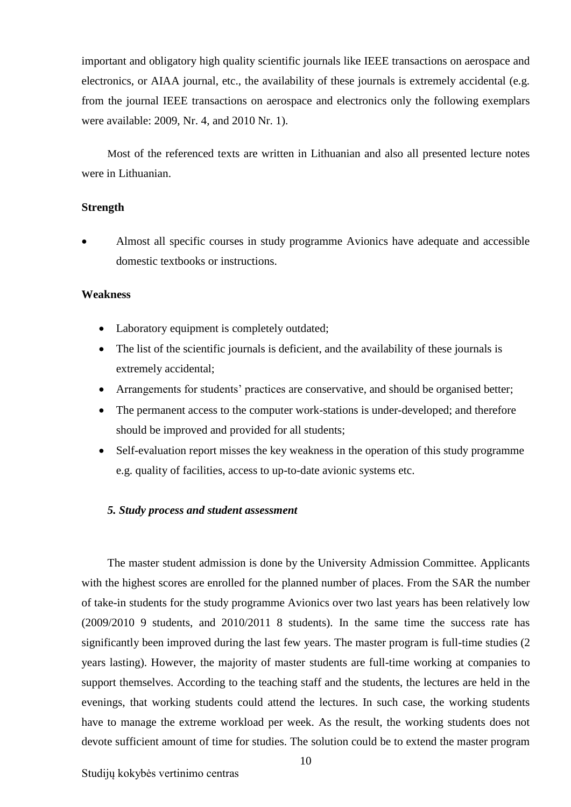important and obligatory high quality scientific journals like IEEE transactions on aerospace and electronics, or AIAA journal, etc., the availability of these journals is extremely accidental (e.g. from the journal IEEE transactions on aerospace and electronics only the following exemplars were available: 2009, Nr. 4, and 2010 Nr. 1).

Most of the referenced texts are written in Lithuanian and also all presented lecture notes were in Lithuanian.

#### **Strength**

 Almost all specific courses in study programme Avionics have adequate and accessible domestic textbooks or instructions.

#### **Weakness**

- Laboratory equipment is completely outdated;
- The list of the scientific journals is deficient, and the availability of these journals is extremely accidental;
- Arrangements for students' practices are conservative, and should be organised better;
- The permanent access to the computer work-stations is under-developed; and therefore should be improved and provided for all students;
- Self-evaluation report misses the key weakness in the operation of this study programme e.g. quality of facilities, access to up-to-date avionic systems etc.

#### <span id="page-9-0"></span>*5. Study process and student assessment*

The master student admission is done by the University Admission Committee. Applicants with the highest scores are enrolled for the planned number of places. From the SAR the number of take-in students for the study programme Avionics over two last years has been relatively low (2009/2010 9 students, and 2010/2011 8 students). In the same time the success rate has significantly been improved during the last few years. The master program is full-time studies (2 years lasting). However, the majority of master students are full-time working at companies to support themselves. According to the teaching staff and the students, the lectures are held in the evenings, that working students could attend the lectures. In such case, the working students have to manage the extreme workload per week. As the result, the working students does not devote sufficient amount of time for studies. The solution could be to extend the master program

Studijų kokybės vertinimo centras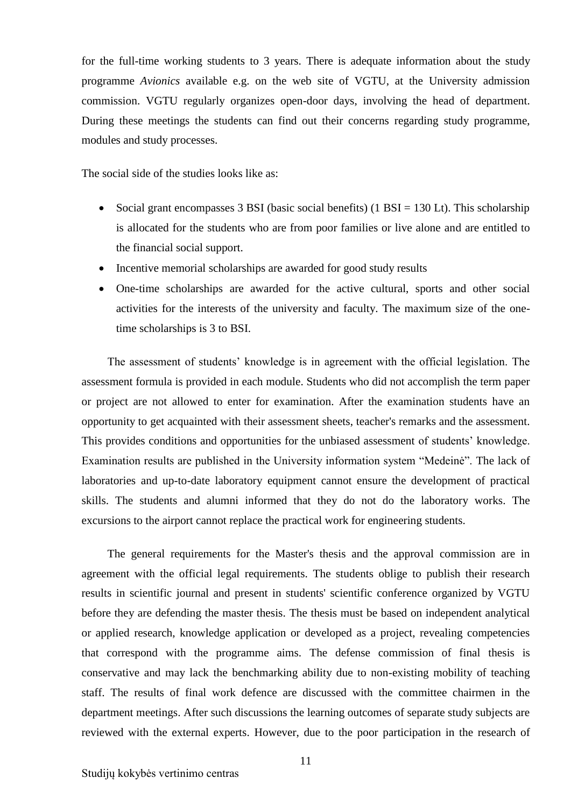for the full-time working students to 3 years. There is adequate information about the study programme *Avionics* available e.g. on the web site of VGTU, at the University admission commission. VGTU regularly organizes open-door days, involving the head of department. During these meetings the students can find out their concerns regarding study programme, modules and study processes.

The social side of the studies looks like as:

- Social grant encompasses 3 BSI (basic social benefits) (1 BSI =  $130$  Lt). This scholarship is allocated for the students who are from poor families or live alone and are entitled to the financial social support.
- Incentive memorial scholarships are awarded for good study results
- One-time scholarships are awarded for the active cultural, sports and other social activities for the interests of the university and faculty. The maximum size of the onetime scholarships is 3 to BSI.

The assessment of students' knowledge is in agreement with the official legislation. The assessment formula is provided in each module. Students who did not accomplish the term paper or project are not allowed to enter for examination. After the examination students have an opportunity to get acquainted with their assessment sheets, teacher's remarks and the assessment. This provides conditions and opportunities for the unbiased assessment of students' knowledge. Examination results are published in the University information system "Medeinė". The lack of laboratories and up-to-date laboratory equipment cannot ensure the development of practical skills. The students and alumni informed that they do not do the laboratory works. The excursions to the airport cannot replace the practical work for engineering students.

The general requirements for the Master's thesis and the approval commission are in agreement with the official legal requirements. The students oblige to publish their research results in scientific journal and present in students' scientific conference organized by VGTU before they are defending the master thesis. The thesis must be based on independent analytical or applied research, knowledge application or developed as a project, revealing competencies that correspond with the programme aims. The defense commission of final thesis is conservative and may lack the benchmarking ability due to non-existing mobility of teaching staff. The results of final work defence are discussed with the committee chairmen in the department meetings. After such discussions the learning outcomes of separate study subjects are reviewed with the external experts. However, due to the poor participation in the research of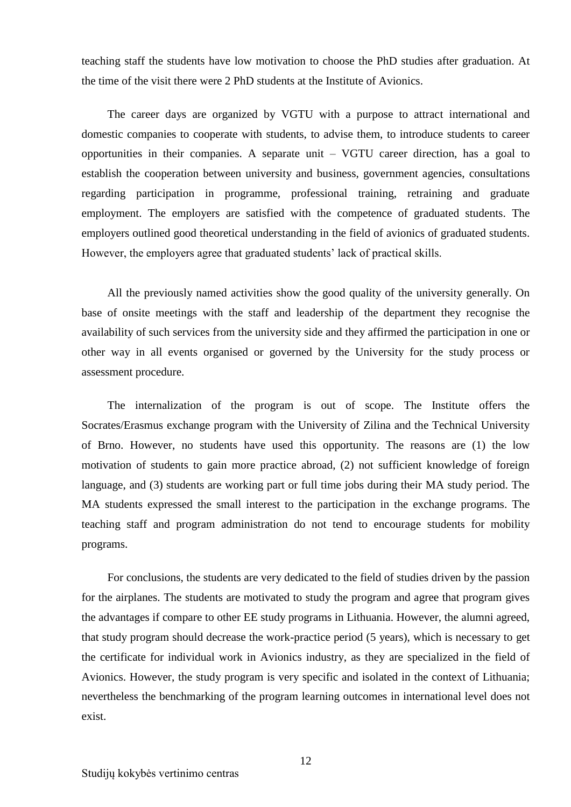teaching staff the students have low motivation to choose the PhD studies after graduation. At the time of the visit there were 2 PhD students at the Institute of Avionics.

The career days are organized by VGTU with a purpose to attract international and domestic companies to cooperate with students, to advise them, to introduce students to career opportunities in their companies. A separate unit – VGTU career direction, has a goal to establish the cooperation between university and business, government agencies, consultations regarding participation in programme, professional training, retraining and graduate employment. The employers are satisfied with the competence of graduated students. The employers outlined good theoretical understanding in the field of avionics of graduated students. However, the employers agree that graduated students' lack of practical skills.

All the previously named activities show the good quality of the university generally. On base of onsite meetings with the staff and leadership of the department they recognise the availability of such services from the university side and they affirmed the participation in one or other way in all events organised or governed by the University for the study process or assessment procedure.

The internalization of the program is out of scope. The Institute offers the Socrates/Erasmus exchange program with the University of Zilina and the Technical University of Brno. However, no students have used this opportunity. The reasons are (1) the low motivation of students to gain more practice abroad, (2) not sufficient knowledge of foreign language, and (3) students are working part or full time jobs during their MA study period. The MA students expressed the small interest to the participation in the exchange programs. The teaching staff and program administration do not tend to encourage students for mobility programs.

For conclusions, the students are very dedicated to the field of studies driven by the passion for the airplanes. The students are motivated to study the program and agree that program gives the advantages if compare to other EE study programs in Lithuania. However, the alumni agreed, that study program should decrease the work-practice period (5 years), which is necessary to get the certificate for individual work in Avionics industry, as they are specialized in the field of Avionics. However, the study program is very specific and isolated in the context of Lithuania; nevertheless the benchmarking of the program learning outcomes in international level does not exist.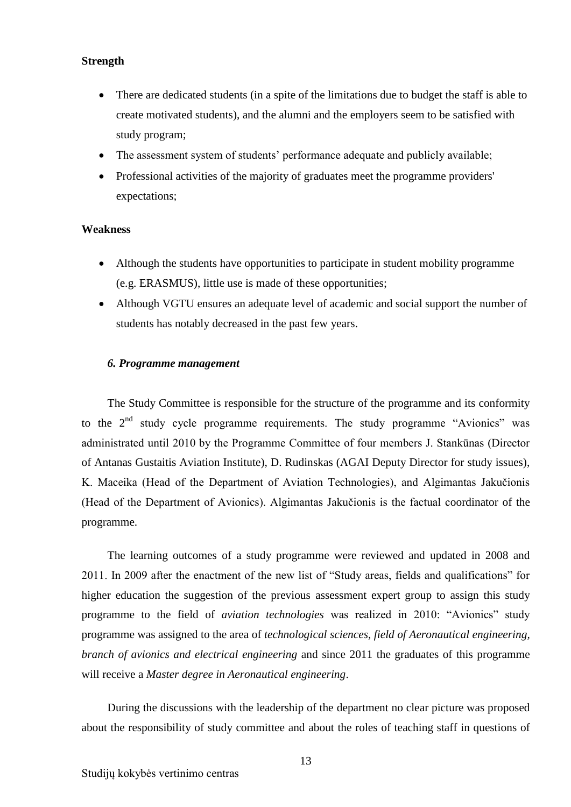### **Strength**

- There are dedicated students (in a spite of the limitations due to budget the staff is able to create motivated students), and the alumni and the employers seem to be satisfied with study program;
- The assessment system of students' performance adequate and publicly available;
- Professional activities of the majority of graduates meet the programme providers' expectations;

#### **Weakness**

- Although the students have opportunities to participate in student mobility programme (e.g. ERASMUS), little use is made of these opportunities;
- Although VGTU ensures an adequate level of academic and social support the number of students has notably decreased in the past few years.

#### <span id="page-12-0"></span>*6. Programme management*

The Study Committee is responsible for the structure of the programme and its conformity to the  $2<sup>nd</sup>$  study cycle programme requirements. The study programme "Avionics" was administrated until 2010 by the Programme Committee of four members J. Stankūnas (Director of Antanas Gustaitis Aviation Institute), D. Rudinskas (AGAI Deputy Director for study issues), K. Maceika (Head of the Department of Aviation Technologies), and Algimantas Jakučionis (Head of the Department of Avionics). Algimantas Jakučionis is the factual coordinator of the programme.

The learning outcomes of a study programme were reviewed and updated in 2008 and 2011. In 2009 after the enactment of the new list of "Study areas, fields and qualifications" for higher education the suggestion of the previous assessment expert group to assign this study programme to the field of *aviation technologies* was realized in 2010: "Avionics" study programme was assigned to the area of *technological sciences, field of Aeronautical engineering, branch of avionics and electrical engineering* and since 2011 the graduates of this programme will receive a *Master degree in Aeronautical engineering*.

During the discussions with the leadership of the department no clear picture was proposed about the responsibility of study committee and about the roles of teaching staff in questions of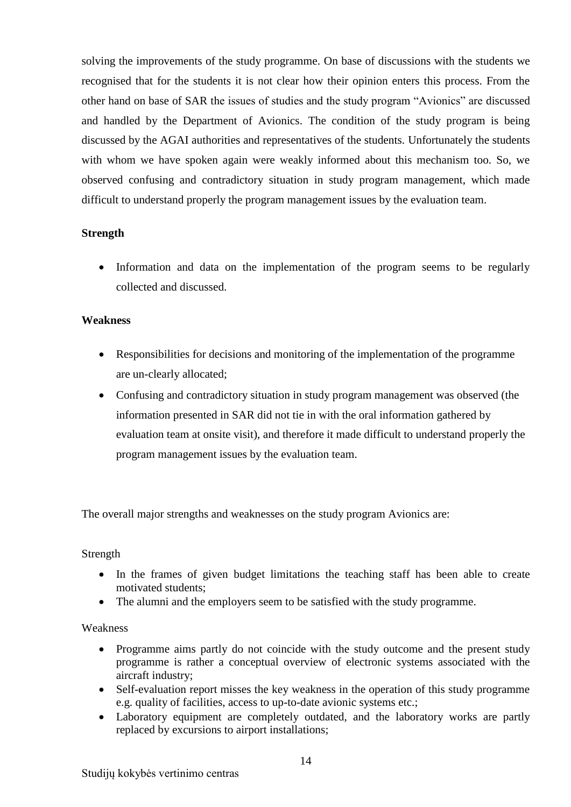solving the improvements of the study programme. On base of discussions with the students we recognised that for the students it is not clear how their opinion enters this process. From the other hand on base of SAR the issues of studies and the study program "Avionics" are discussed and handled by the Department of Avionics. The condition of the study program is being discussed by the AGAI authorities and representatives of the students. Unfortunately the students with whom we have spoken again were weakly informed about this mechanism too. So, we observed confusing and contradictory situation in study program management, which made difficult to understand properly the program management issues by the evaluation team.

# **Strength**

• Information and data on the implementation of the program seems to be regularly collected and discussed.

# **Weakness**

- Responsibilities for decisions and monitoring of the implementation of the programme are un-clearly allocated;
- Confusing and contradictory situation in study program management was observed (the information presented in SAR did not tie in with the oral information gathered by evaluation team at onsite visit), and therefore it made difficult to understand properly the program management issues by the evaluation team.

The overall major strengths and weaknesses on the study program Avionics are:

# Strength

- In the frames of given budget limitations the teaching staff has been able to create motivated students;
- The alumni and the employers seem to be satisfied with the study programme.

# Weakness

- Programme aims partly do not coincide with the study outcome and the present study programme is rather a conceptual overview of electronic systems associated with the aircraft industry;
- Self-evaluation report misses the key weakness in the operation of this study programme e.g. quality of facilities, access to up-to-date avionic systems etc.;
- Laboratory equipment are completely outdated, and the laboratory works are partly replaced by excursions to airport installations;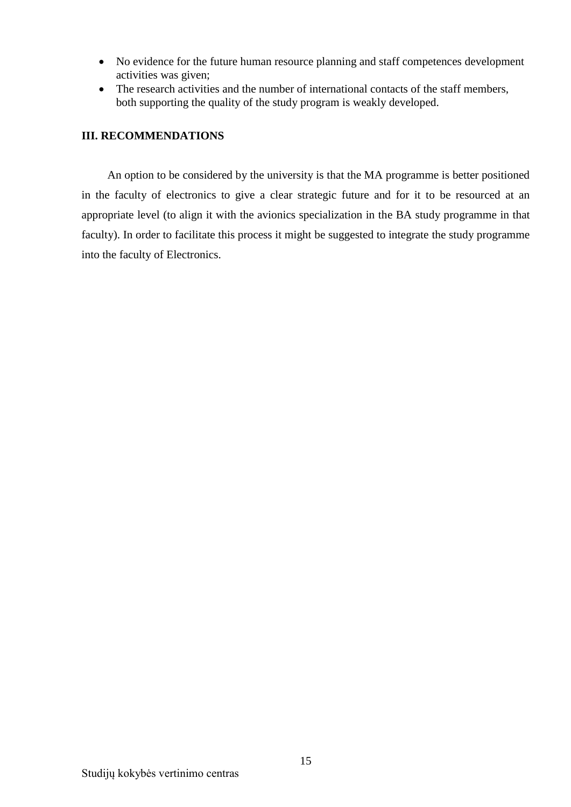- No evidence for the future human resource planning and staff competences development activities was given;
- The research activities and the number of international contacts of the staff members, both supporting the quality of the study program is weakly developed.

# <span id="page-14-0"></span>**III. RECOMMENDATIONS**

An option to be considered by the university is that the MA programme is better positioned in the faculty of electronics to give a clear strategic future and for it to be resourced at an appropriate level (to align it with the avionics specialization in the BA study programme in that faculty). In order to facilitate this process it might be suggested to integrate the study programme into the faculty of Electronics.